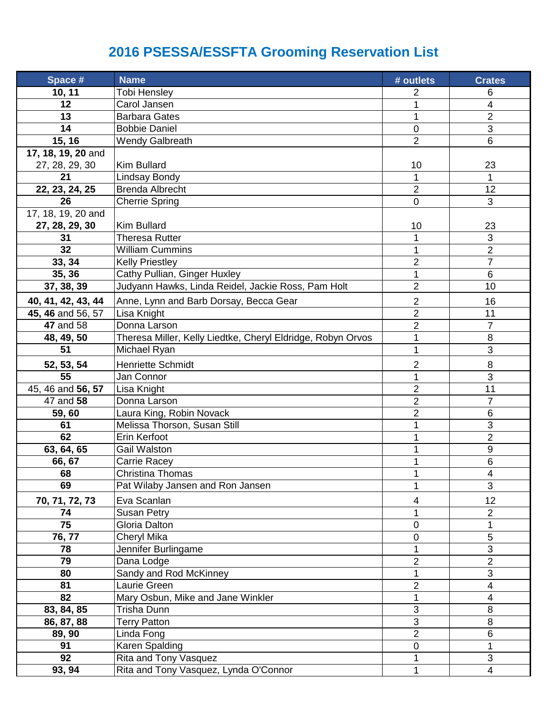## **2016 PSESSA/ESSFTA Grooming Reservation List**

| Space #            | <b>Name</b>                                                 | # outlets      | <b>Crates</b>    |
|--------------------|-------------------------------------------------------------|----------------|------------------|
| 10, 11             | Tobi Hensley                                                | 2              | 6                |
| 12                 | Carol Jansen                                                |                | 4                |
| 13                 | <b>Barbara Gates</b>                                        | 1              | 2                |
| 14                 | <b>Bobbie Daniel</b>                                        | $\mathbf 0$    | 3                |
| 15, 16             | <b>Wendy Galbreath</b>                                      | $\overline{2}$ | 6                |
| 17, 18, 19, 20 and |                                                             |                |                  |
| 27, 28, 29, 30     | Kim Bullard                                                 | 10             | 23               |
| 21                 | <b>Lindsay Bondy</b>                                        | 1              | 1                |
| 22, 23, 24, 25     | <b>Brenda Albrecht</b>                                      | $\overline{2}$ | 12               |
| 26                 | <b>Cherrie Spring</b>                                       | $\mathbf 0$    | 3                |
| 17, 18, 19, 20 and |                                                             |                |                  |
| 27, 28, 29, 30     | <b>Kim Bullard</b>                                          | 10             | 23               |
| 31                 | Theresa Rutter                                              |                | 3                |
| 32                 | <b>William Cummins</b>                                      | 1              | $\overline{2}$   |
| 33, 34             | <b>Kelly Priestley</b>                                      | $\overline{2}$ | $\overline{7}$   |
| 35, 36             | Cathy Pullian, Ginger Huxley                                | 1              | 6                |
| 37, 38, 39         | Judyann Hawks, Linda Reidel, Jackie Ross, Pam Holt          | $\overline{2}$ | 10               |
| 40, 41, 42, 43, 44 | Anne, Lynn and Barb Dorsay, Becca Gear                      | $\overline{2}$ | 16               |
| 45, 46 and 56, 57  | Lisa Knight                                                 | $\overline{2}$ | 11               |
| <b>47 and 58</b>   | Donna Larson                                                | $\overline{2}$ | $\overline{7}$   |
| 48, 49, 50         | Theresa Miller, Kelly Liedtke, Cheryl Eldridge, Robyn Orvos | 1              | 8                |
| 51                 | Michael Ryan                                                | 1              | 3                |
| 52, 53, 54         | <b>Henriette Schmidt</b>                                    | 2              | 8                |
| 55                 | Jan Connor                                                  | 1              | 3                |
| 45, 46 and 56, 57  | Lisa Knight                                                 | $\overline{2}$ | 11               |
| 47 and 58          | Donna Larson                                                | $\overline{2}$ | $\overline{7}$   |
| 59,60              | Laura King, Robin Novack                                    | $\overline{2}$ | 6                |
| 61                 | Melissa Thorson, Susan Still                                | 1              | 3                |
| 62                 | Erin Kerfoot                                                |                | $\overline{2}$   |
| 63, 64, 65         | <b>Gail Walston</b>                                         |                | $\boldsymbol{9}$ |
| 66, 67             | Carrie Racey                                                |                | $\,6$            |
| 68                 | Christina Thomas                                            | 1              | 4                |
| 69                 | Pat Wilaby Jansen and Ron Jansen                            |                | 3                |
| 70, 71, 72, 73     | Eva Scanlan                                                 | 4              | 12               |
| 74                 | <b>Susan Petry</b>                                          |                | $\overline{2}$   |
| $\overline{75}$    | Gloria Dalton                                               | 0              | $\mathbf 1$      |
| 76, 77             | Cheryl Mika                                                 | 0              | 5                |
| 78                 | Jennifer Burlingame                                         | 1              | 3                |
| 79                 | Dana Lodge                                                  | $\overline{2}$ | $\overline{2}$   |
| 80                 | Sandy and Rod McKinney                                      |                | 3                |
| 81                 | Laurie Green                                                | $\overline{2}$ | 4                |
| 82                 | Mary Osbun, Mike and Jane Winkler                           | 1              | 4                |
| 83, 84, 85         | Trisha Dunn                                                 | 3              | 8                |
| 86, 87, 88         | <b>Terry Patton</b>                                         | 3              | 8                |
| 89, 90             | Linda Fong                                                  | $\overline{2}$ | 6                |
| 91                 | Karen Spalding                                              | $\pmb{0}$      | 1                |
| 92                 | Rita and Tony Vasquez                                       | 1              | 3                |
| 93, 94             | Rita and Tony Vasquez, Lynda O'Connor                       | 1              | $\overline{4}$   |